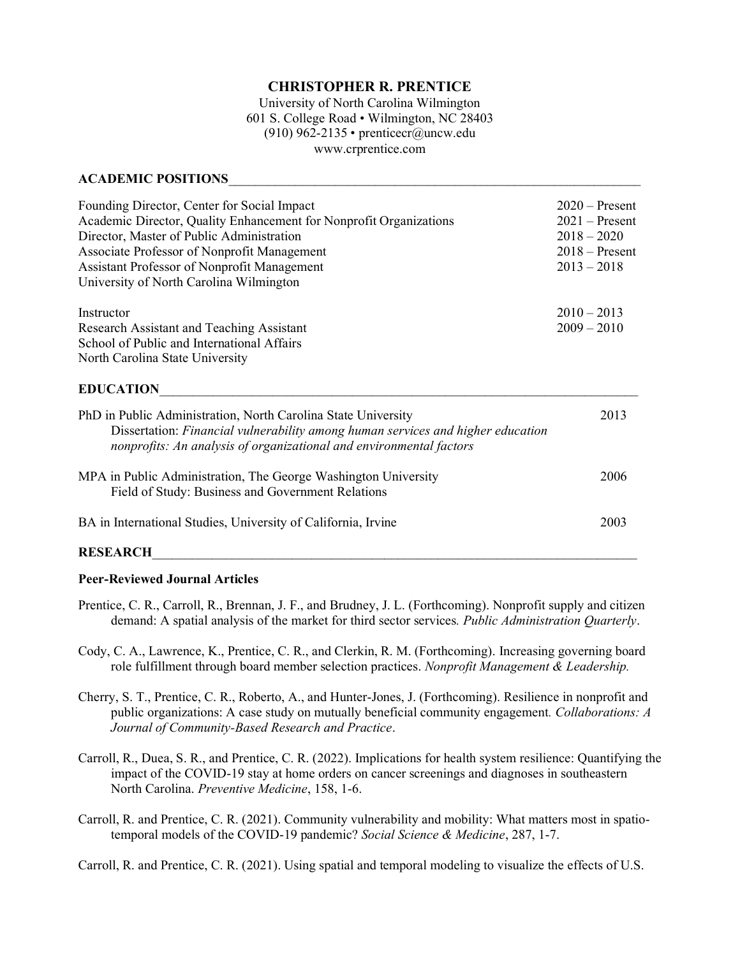# **CHRISTOPHER R. PRENTICE**

University of North Carolina Wilmington 601 S. College Road • Wilmington, NC 28403 (910) 962-2135 • prenticecr@uncw.edu www.crprentice.com

### **ACADEMIC POSITIONS**\_\_\_\_\_\_\_\_\_\_\_\_\_\_\_\_\_\_\_\_\_\_\_\_\_\_\_\_\_\_\_\_\_\_\_\_\_\_\_\_\_\_\_\_\_\_\_\_\_\_\_\_\_\_\_\_\_\_\_\_\_\_

| Founding Director, Center for Social Impact<br>Academic Director, Quality Enhancement for Nonprofit Organizations<br>Director, Master of Public Administration<br>Associate Professor of Nonprofit Management<br><b>Assistant Professor of Nonprofit Management</b><br>University of North Carolina Wilmington | $2020$ – Present<br>$2021 -$ Present<br>$2018 - 2020$<br>$2018 -$ Present<br>$2013 - 2018$ |
|----------------------------------------------------------------------------------------------------------------------------------------------------------------------------------------------------------------------------------------------------------------------------------------------------------------|--------------------------------------------------------------------------------------------|
| Instructor<br>Research Assistant and Teaching Assistant<br>School of Public and International Affairs<br>North Carolina State University                                                                                                                                                                       | $2010 - 2013$<br>$2009 - 2010$                                                             |
| <b>EDUCATION</b>                                                                                                                                                                                                                                                                                               |                                                                                            |
| PhD in Public Administration, North Carolina State University<br>Dissertation: Financial vulnerability among human services and higher education<br>nonprofits: An analysis of organizational and environmental factors                                                                                        | 2013                                                                                       |
| MPA in Public Administration, The George Washington University<br>Field of Study: Business and Government Relations                                                                                                                                                                                            | 2006                                                                                       |
| BA in International Studies, University of California, Irvine                                                                                                                                                                                                                                                  | 2003                                                                                       |
|                                                                                                                                                                                                                                                                                                                |                                                                                            |

### **RESEARCH**\_\_\_\_\_\_\_\_\_\_\_\_\_\_\_\_\_\_\_\_\_\_\_\_\_\_\_\_\_\_\_\_\_\_\_\_\_\_\_\_\_\_\_\_\_\_\_\_\_\_\_\_\_\_\_\_\_\_\_\_\_\_\_\_\_\_\_\_\_\_\_\_\_

### **Peer-Reviewed Journal Articles**

- Prentice, C. R., Carroll, R., Brennan, J. F., and Brudney, J. L. (Forthcoming). Nonprofit supply and citizen demand: A spatial analysis of the market for third sector services*. Public Administration Quarterly*.
- Cody, C. A., Lawrence, K., Prentice, C. R., and Clerkin, R. M. (Forthcoming). Increasing governing board role fulfillment through board member selection practices. *Nonprofit Management & Leadership.*
- Cherry, S. T., Prentice, C. R., Roberto, A., and Hunter-Jones, J. (Forthcoming). Resilience in nonprofit and public organizations: A case study on mutually beneficial community engagement*. Collaborations: A Journal of Community-Based Research and Practice*.
- Carroll, R., Duea, S. R., and Prentice, C. R. (2022). Implications for health system resilience: Quantifying the impact of the COVID-19 stay at home orders on cancer screenings and diagnoses in southeastern North Carolina. *Preventive Medicine*, 158, 1-6.
- Carroll, R. and Prentice, C. R. (2021). Community vulnerability and mobility: What matters most in spatiotemporal models of the COVID-19 pandemic? *Social Science & Medicine*, 287, 1-7.

Carroll, R. and Prentice, C. R. (2021). Using spatial and temporal modeling to visualize the effects of U.S.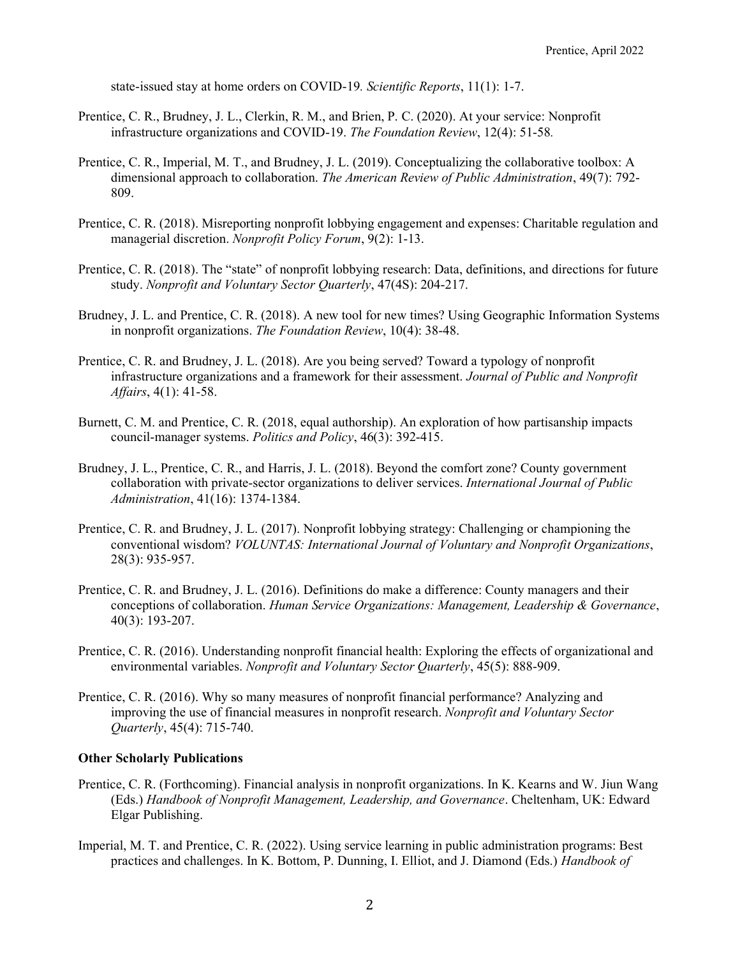state-issued stay at home orders on COVID-19*. Scientific Reports*, 11(1): 1-7.

- Prentice, C. R., Brudney, J. L., Clerkin, R. M., and Brien, P. C. (2020). At your service: Nonprofit infrastructure organizations and COVID-19. *The Foundation Review*, 12(4): 51-58*.*
- Prentice, C. R., Imperial, M. T., and Brudney, J. L. (2019). Conceptualizing the collaborative toolbox: A dimensional approach to collaboration. *The American Review of Public Administration*, 49(7): 792- 809.
- Prentice, C. R. (2018). Misreporting nonprofit lobbying engagement and expenses: Charitable regulation and managerial discretion. *Nonprofit Policy Forum*, 9(2): 1-13.
- Prentice, C. R. (2018). The "state" of nonprofit lobbying research: Data, definitions, and directions for future study. *Nonprofit and Voluntary Sector Quarterly*, 47(4S): 204-217.
- Brudney, J. L. and Prentice, C. R. (2018). A new tool for new times? Using Geographic Information Systems in nonprofit organizations. *The Foundation Review*, 10(4): 38-48.
- Prentice, C. R. and Brudney, J. L. (2018). Are you being served? Toward a typology of nonprofit infrastructure organizations and a framework for their assessment. *Journal of Public and Nonprofit Affairs*, 4(1): 41-58.
- Burnett, C. M. and Prentice, C. R. (2018, equal authorship). An exploration of how partisanship impacts council-manager systems. *Politics and Policy*, 46(3): 392-415.
- Brudney, J. L., Prentice, C. R., and Harris, J. L. (2018). Beyond the comfort zone? County government collaboration with private-sector organizations to deliver services. *International Journal of Public Administration*, 41(16): 1374-1384.
- Prentice, C. R. and Brudney, J. L. (2017). Nonprofit lobbying strategy: Challenging or championing the conventional wisdom? *VOLUNTAS: International Journal of Voluntary and Nonprofit Organizations*, 28(3): 935-957.
- Prentice, C. R. and Brudney, J. L. (2016). Definitions do make a difference: County managers and their conceptions of collaboration. *Human Service Organizations: Management, Leadership & Governance*, 40(3): 193-207.
- Prentice, C. R. (2016). Understanding nonprofit financial health: Exploring the effects of organizational and environmental variables. *Nonprofit and Voluntary Sector Quarterly*, 45(5): 888-909.
- Prentice, C. R. (2016). Why so many measures of nonprofit financial performance? Analyzing and improving the use of financial measures in nonprofit research. *Nonprofit and Voluntary Sector Quarterly*, 45(4): 715-740.

#### **Other Scholarly Publications**

- Prentice, C. R. (Forthcoming). Financial analysis in nonprofit organizations. In K. Kearns and W. Jiun Wang (Eds.) *Handbook of Nonprofit Management, Leadership, and Governance*. Cheltenham, UK: Edward Elgar Publishing.
- Imperial, M. T. and Prentice, C. R. (2022). Using service learning in public administration programs: Best practices and challenges. In K. Bottom, P. Dunning, I. Elliot, and J. Diamond (Eds.) *Handbook of*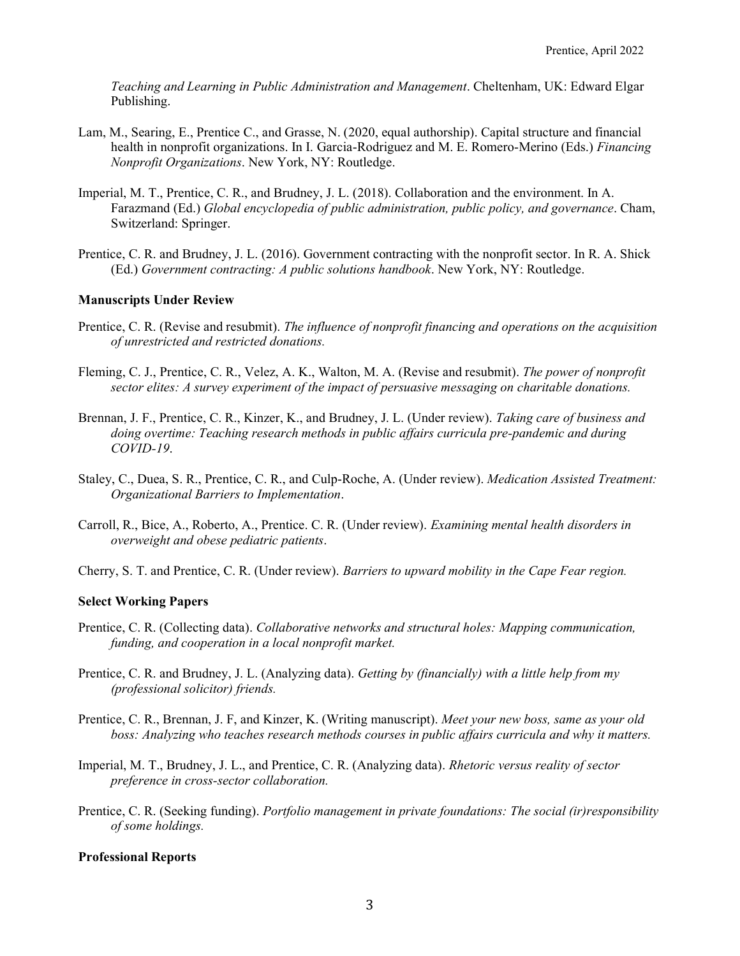*Teaching and Learning in Public Administration and Management*. Cheltenham, UK: Edward Elgar Publishing.

- Lam, M., Searing, E., Prentice C., and Grasse, N. (2020, equal authorship). Capital structure and financial health in nonprofit organizations. In I. Garcia-Rodriguez and M. E. Romero-Merino (Eds.) *Financing Nonprofit Organizations*. New York, NY: Routledge.
- Imperial, M. T., Prentice, C. R., and Brudney, J. L. (2018). Collaboration and the environment. In A. Farazmand (Ed.) *Global encyclopedia of public administration, public policy, and governance*. Cham, Switzerland: Springer.
- Prentice, C. R. and Brudney, J. L. (2016). Government contracting with the nonprofit sector. In R. A. Shick (Ed.) *Government contracting: A public solutions handbook*. New York, NY: Routledge.

### **Manuscripts Under Review**

- Prentice, C. R. (Revise and resubmit). *The influence of nonprofit financing and operations on the acquisition of unrestricted and restricted donations.*
- Fleming, C. J., Prentice, C. R., Velez, A. K., Walton, M. A. (Revise and resubmit). *The power of nonprofit sector elites: A survey experiment of the impact of persuasive messaging on charitable donations.*
- Brennan, J. F., Prentice, C. R., Kinzer, K., and Brudney, J. L. (Under review). *Taking care of business and doing overtime: Teaching research methods in public affairs curricula pre-pandemic and during COVID-19*.
- Staley, C., Duea, S. R., Prentice, C. R., and Culp-Roche, A. (Under review). *Medication Assisted Treatment: Organizational Barriers to Implementation*.
- Carroll, R., Bice, A., Roberto, A., Prentice. C. R. (Under review). *Examining mental health disorders in overweight and obese pediatric patients*.
- Cherry, S. T. and Prentice, C. R. (Under review). *Barriers to upward mobility in the Cape Fear region.*

### **Select Working Papers**

- Prentice, C. R. (Collecting data). *Collaborative networks and structural holes: Mapping communication, funding, and cooperation in a local nonprofit market.*
- Prentice, C. R. and Brudney, J. L. (Analyzing data). *Getting by (financially) with a little help from my (professional solicitor) friends.*
- Prentice, C. R., Brennan, J. F, and Kinzer, K. (Writing manuscript). *Meet your new boss, same as your old boss: Analyzing who teaches research methods courses in public affairs curricula and why it matters.*
- Imperial, M. T., Brudney, J. L., and Prentice, C. R. (Analyzing data). *Rhetoric versus reality of sector preference in cross-sector collaboration.*
- Prentice, C. R. (Seeking funding). *Portfolio management in private foundations: The social (ir)responsibility of some holdings.*

### **Professional Reports**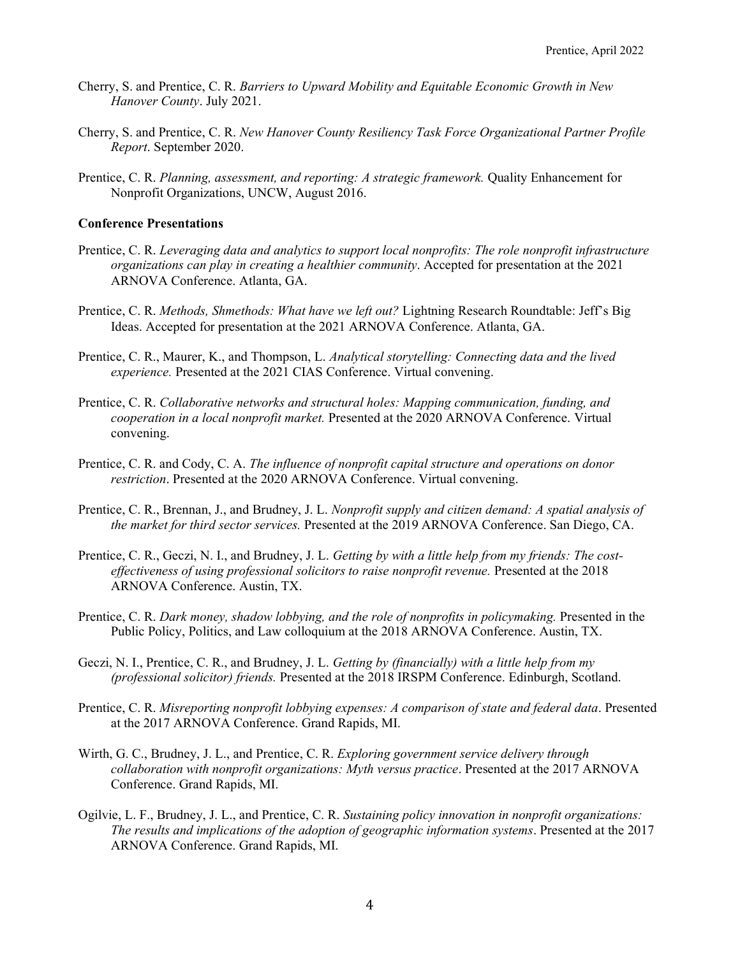- Cherry, S. and Prentice, C. R. *Barriers to Upward Mobility and Equitable Economic Growth in New Hanover County*. July 2021.
- Cherry, S. and Prentice, C. R. *New Hanover County Resiliency Task Force Organizational Partner Profile Report*. September 2020.
- Prentice, C. R. *Planning, assessment, and reporting: A strategic framework.* Quality Enhancement for Nonprofit Organizations, UNCW, August 2016.

### **Conference Presentations**

- Prentice, C. R. *Leveraging data and analytics to support local nonprofits: The role nonprofit infrastructure organizations can play in creating a healthier community*. Accepted for presentation at the 2021 ARNOVA Conference. Atlanta, GA.
- Prentice, C. R. *Methods, Shmethods: What have we left out?* Lightning Research Roundtable: Jeff's Big Ideas. Accepted for presentation at the 2021 ARNOVA Conference. Atlanta, GA.
- Prentice, C. R., Maurer, K., and Thompson, L. *Analytical storytelling: Connecting data and the lived experience.* Presented at the 2021 CIAS Conference. Virtual convening.
- Prentice, C. R. *Collaborative networks and structural holes: Mapping communication, funding, and cooperation in a local nonprofit market.* Presented at the 2020 ARNOVA Conference. Virtual convening.
- Prentice, C. R. and Cody, C. A. *The influence of nonprofit capital structure and operations on donor restriction*. Presented at the 2020 ARNOVA Conference. Virtual convening.
- Prentice, C. R., Brennan, J., and Brudney, J. L. *Nonprofit supply and citizen demand: A spatial analysis of the market for third sector services.* Presented at the 2019 ARNOVA Conference. San Diego, CA.
- Prentice, C. R., Geczi, N. I., and Brudney, J. L. *Getting by with a little help from my friends: The costeffectiveness of using professional solicitors to raise nonprofit revenue.* Presented at the 2018 ARNOVA Conference. Austin, TX.
- Prentice, C. R. *Dark money, shadow lobbying, and the role of nonprofits in policymaking.* Presented in the Public Policy, Politics, and Law colloquium at the 2018 ARNOVA Conference. Austin, TX.
- Geczi, N. I., Prentice, C. R., and Brudney, J. L. *Getting by (financially) with a little help from my (professional solicitor) friends.* Presented at the 2018 IRSPM Conference. Edinburgh, Scotland.
- Prentice, C. R. *Misreporting nonprofit lobbying expenses: A comparison of state and federal data*. Presented at the 2017 ARNOVA Conference. Grand Rapids, MI.
- Wirth, G. C., Brudney, J. L., and Prentice, C. R. *Exploring government service delivery through collaboration with nonprofit organizations: Myth versus practice*. Presented at the 2017 ARNOVA Conference. Grand Rapids, MI.
- Ogilvie, L. F., Brudney, J. L., and Prentice, C. R. *Sustaining policy innovation in nonprofit organizations: The results and implications of the adoption of geographic information systems*. Presented at the 2017 ARNOVA Conference. Grand Rapids, MI.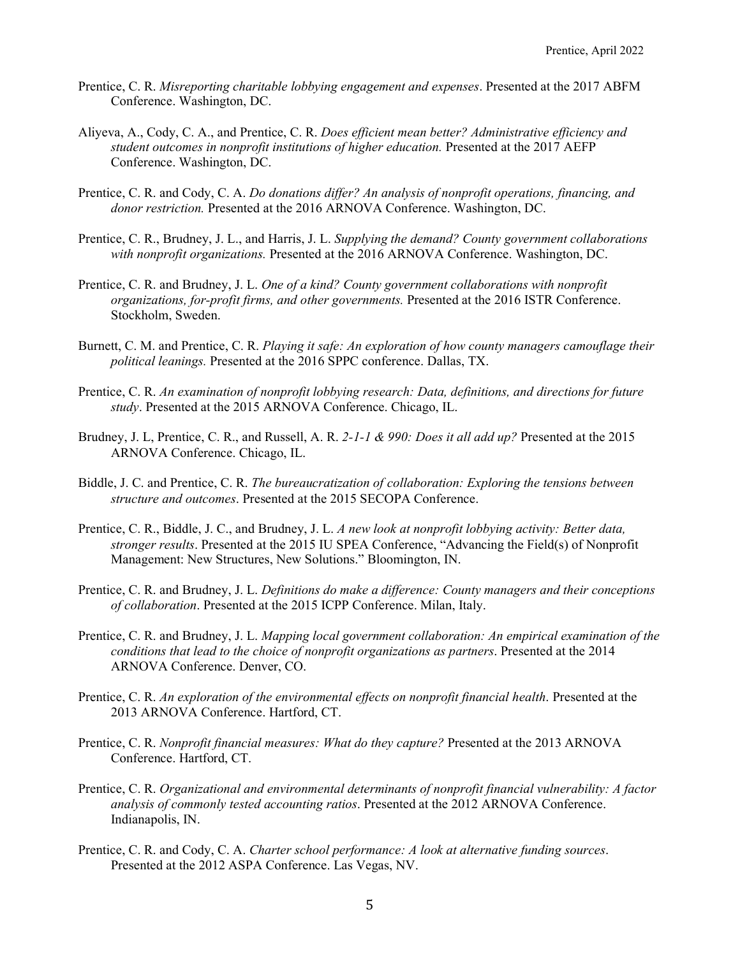- Prentice, C. R. *Misreporting charitable lobbying engagement and expenses*. Presented at the 2017 ABFM Conference. Washington, DC.
- Aliyeva, A., Cody, C. A., and Prentice, C. R. *Does efficient mean better? Administrative efficiency and student outcomes in nonprofit institutions of higher education.* Presented at the 2017 AEFP Conference. Washington, DC.
- Prentice, C. R. and Cody, C. A. *Do donations differ? An analysis of nonprofit operations, financing, and donor restriction.* Presented at the 2016 ARNOVA Conference. Washington, DC.
- Prentice, C. R., Brudney, J. L., and Harris, J. L. *Supplying the demand? County government collaborations with nonprofit organizations.* Presented at the 2016 ARNOVA Conference. Washington, DC.
- Prentice, C. R. and Brudney, J. L. *One of a kind? County government collaborations with nonprofit organizations, for-profit firms, and other governments.* Presented at the 2016 ISTR Conference. Stockholm, Sweden.
- Burnett, C. M. and Prentice, C. R. *Playing it safe: An exploration of how county managers camouflage their political leanings.* Presented at the 2016 SPPC conference. Dallas, TX.
- Prentice, C. R. *An examination of nonprofit lobbying research: Data, definitions, and directions for future study*. Presented at the 2015 ARNOVA Conference. Chicago, IL.
- Brudney, J. L, Prentice, C. R., and Russell, A. R. *2-1-1 & 990: Does it all add up?* Presented at the 2015 ARNOVA Conference. Chicago, IL.
- Biddle, J. C. and Prentice, C. R. *The bureaucratization of collaboration: Exploring the tensions between structure and outcomes*. Presented at the 2015 SECOPA Conference.
- Prentice, C. R., Biddle, J. C., and Brudney, J. L. *A new look at nonprofit lobbying activity: Better data, stronger results*. Presented at the 2015 IU SPEA Conference, "Advancing the Field(s) of Nonprofit Management: New Structures, New Solutions." Bloomington, IN.
- Prentice, C. R. and Brudney, J. L. *Definitions do make a difference: County managers and their conceptions of collaboration*. Presented at the 2015 ICPP Conference. Milan, Italy.
- Prentice, C. R. and Brudney, J. L. *Mapping local government collaboration: An empirical examination of the conditions that lead to the choice of nonprofit organizations as partners*. Presented at the 2014 ARNOVA Conference. Denver, CO.
- Prentice, C. R. *An exploration of the environmental effects on nonprofit financial health*. Presented at the 2013 ARNOVA Conference. Hartford, CT.
- Prentice, C. R. *Nonprofit financial measures: What do they capture?* Presented at the 2013 ARNOVA Conference. Hartford, CT.
- Prentice, C. R. *Organizational and environmental determinants of nonprofit financial vulnerability: A factor analysis of commonly tested accounting ratios*. Presented at the 2012 ARNOVA Conference. Indianapolis, IN.
- Prentice, C. R. and Cody, C. A. *Charter school performance: A look at alternative funding sources*. Presented at the 2012 ASPA Conference. Las Vegas, NV.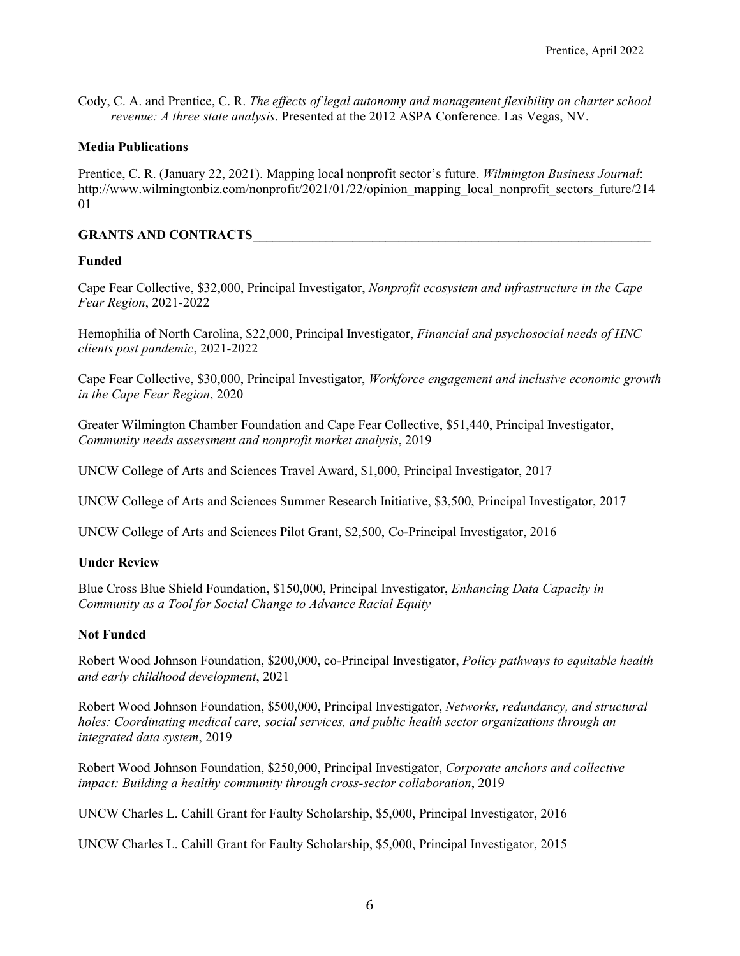Cody, C. A. and Prentice, C. R. *The effects of legal autonomy and management flexibility on charter school revenue: A three state analysis*. Presented at the 2012 ASPA Conference. Las Vegas, NV.

### **Media Publications**

Prentice, C. R. (January 22, 2021). Mapping local nonprofit sector's future. *Wilmington Business Journal*: http://www.wilmingtonbiz.com/nonprofit/2021/01/22/opinion\_mapping\_local\_nonprofit\_sectors\_future/214 01

## **GRANTS AND CONTRACTS**\_\_\_\_\_\_\_\_\_\_\_\_\_\_\_\_\_\_\_\_\_\_\_\_\_\_\_\_\_\_\_\_\_\_\_\_\_\_\_\_\_\_\_\_\_\_\_\_\_\_\_\_\_\_\_\_\_\_\_\_

### **Funded**

Cape Fear Collective, \$32,000, Principal Investigator, *Nonprofit ecosystem and infrastructure in the Cape Fear Region*, 2021-2022

Hemophilia of North Carolina, \$22,000, Principal Investigator, *Financial and psychosocial needs of HNC clients post pandemic*, 2021-2022

Cape Fear Collective, \$30,000, Principal Investigator, *Workforce engagement and inclusive economic growth in the Cape Fear Region*, 2020

Greater Wilmington Chamber Foundation and Cape Fear Collective, \$51,440, Principal Investigator, *Community needs assessment and nonprofit market analysis*, 2019

UNCW College of Arts and Sciences Travel Award, \$1,000, Principal Investigator, 2017

UNCW College of Arts and Sciences Summer Research Initiative, \$3,500, Principal Investigator, 2017

UNCW College of Arts and Sciences Pilot Grant, \$2,500, Co-Principal Investigator, 2016

## **Under Review**

Blue Cross Blue Shield Foundation, \$150,000, Principal Investigator, *Enhancing Data Capacity in Community as a Tool for Social Change to Advance Racial Equity*

### **Not Funded**

Robert Wood Johnson Foundation, \$200,000, co-Principal Investigator, *Policy pathways to equitable health and early childhood development*, 2021

Robert Wood Johnson Foundation, \$500,000, Principal Investigator, *Networks, redundancy, and structural holes: Coordinating medical care, social services, and public health sector organizations through an integrated data system*, 2019

Robert Wood Johnson Foundation, \$250,000, Principal Investigator, *Corporate anchors and collective impact: Building a healthy community through cross-sector collaboration*, 2019

UNCW Charles L. Cahill Grant for Faulty Scholarship, \$5,000, Principal Investigator, 2016

UNCW Charles L. Cahill Grant for Faulty Scholarship, \$5,000, Principal Investigator, 2015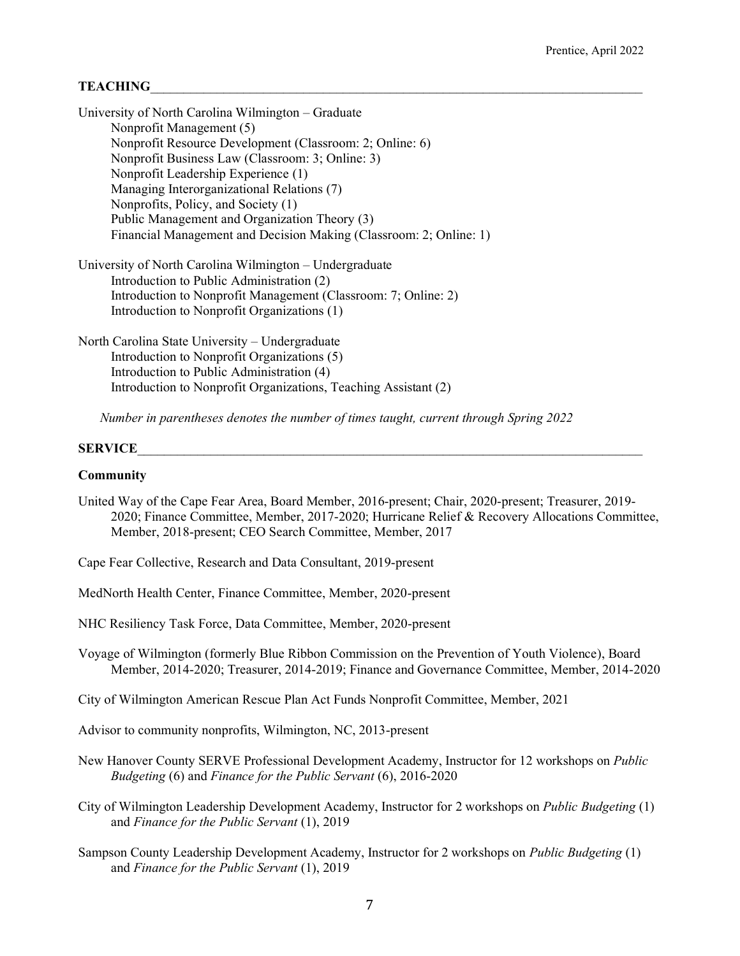## $$

| University of North Carolina Wilmington – Graduate                 |
|--------------------------------------------------------------------|
| Nonprofit Management (5)                                           |
| Nonprofit Resource Development (Classroom: 2; Online: 6)           |
| Nonprofit Business Law (Classroom: 3; Online: 3)                   |
| Nonprofit Leadership Experience (1)                                |
| Managing Interorganizational Relations (7)                         |
| Nonprofits, Policy, and Society (1)                                |
| Public Management and Organization Theory (3)                      |
| Financial Management and Decision Making (Classroom: 2; Online: 1) |
| University of North Carolina Wilmington – Undergraduate            |
| Introduction to Public Administration $(2)$                        |

Introduction to Public Administration (2) Introduction to Nonprofit Management (Classroom: 7; Online: 2) Introduction to Nonprofit Organizations (1)

North Carolina State University – Undergraduate Introduction to Nonprofit Organizations (5) Introduction to Public Administration (4) Introduction to Nonprofit Organizations, Teaching Assistant (2)

*Number in parentheses denotes the number of times taught, current through Spring 2022*

#### **SERVICE**

#### **Community**

- United Way of the Cape Fear Area, Board Member, 2016-present; Chair, 2020-present; Treasurer, 2019- 2020; Finance Committee, Member, 2017-2020; Hurricane Relief & Recovery Allocations Committee, Member, 2018-present; CEO Search Committee, Member, 2017
- Cape Fear Collective, Research and Data Consultant, 2019-present
- MedNorth Health Center, Finance Committee, Member, 2020-present

NHC Resiliency Task Force, Data Committee, Member, 2020-present

Voyage of Wilmington (formerly Blue Ribbon Commission on the Prevention of Youth Violence), Board Member, 2014-2020; Treasurer, 2014-2019; Finance and Governance Committee, Member, 2014-2020

City of Wilmington American Rescue Plan Act Funds Nonprofit Committee, Member, 2021

Advisor to community nonprofits, Wilmington, NC, 2013-present

- New Hanover County SERVE Professional Development Academy, Instructor for 12 workshops on *Public Budgeting* (6) and *Finance for the Public Servant* (6), 2016-2020
- City of Wilmington Leadership Development Academy, Instructor for 2 workshops on *Public Budgeting* (1) and *Finance for the Public Servant* (1), 2019
- Sampson County Leadership Development Academy, Instructor for 2 workshops on *Public Budgeting* (1) and *Finance for the Public Servant* (1), 2019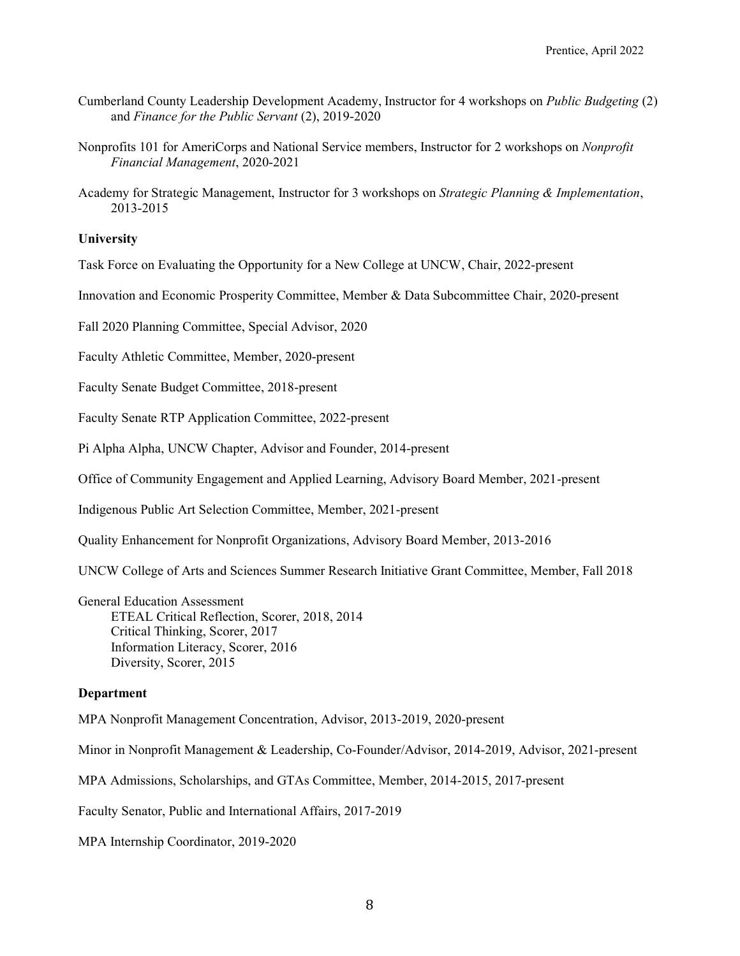- Cumberland County Leadership Development Academy, Instructor for 4 workshops on *Public Budgeting* (2) and *Finance for the Public Servant* (2), 2019-2020
- Nonprofits 101 for AmeriCorps and National Service members, Instructor for 2 workshops on *Nonprofit Financial Management*, 2020-2021
- Academy for Strategic Management, Instructor for 3 workshops on *Strategic Planning & Implementation*, 2013-2015

## **University**

Task Force on Evaluating the Opportunity for a New College at UNCW, Chair, 2022-present

Innovation and Economic Prosperity Committee, Member & Data Subcommittee Chair, 2020-present

Fall 2020 Planning Committee, Special Advisor, 2020

Faculty Athletic Committee, Member, 2020-present

Faculty Senate Budget Committee, 2018-present

Faculty Senate RTP Application Committee, 2022-present

Pi Alpha Alpha, UNCW Chapter, Advisor and Founder, 2014-present

Office of Community Engagement and Applied Learning, Advisory Board Member, 2021-present

Indigenous Public Art Selection Committee, Member, 2021-present

Quality Enhancement for Nonprofit Organizations, Advisory Board Member, 2013-2016

UNCW College of Arts and Sciences Summer Research Initiative Grant Committee, Member, Fall 2018

General Education Assessment ETEAL Critical Reflection, Scorer, 2018, 2014 Critical Thinking, Scorer, 2017 Information Literacy, Scorer, 2016 Diversity, Scorer, 2015

### **Department**

MPA Nonprofit Management Concentration, Advisor, 2013-2019, 2020-present

Minor in Nonprofit Management & Leadership, Co-Founder/Advisor, 2014-2019, Advisor, 2021-present

MPA Admissions, Scholarships, and GTAs Committee, Member, 2014-2015, 2017-present

Faculty Senator, Public and International Affairs, 2017-2019

MPA Internship Coordinator, 2019-2020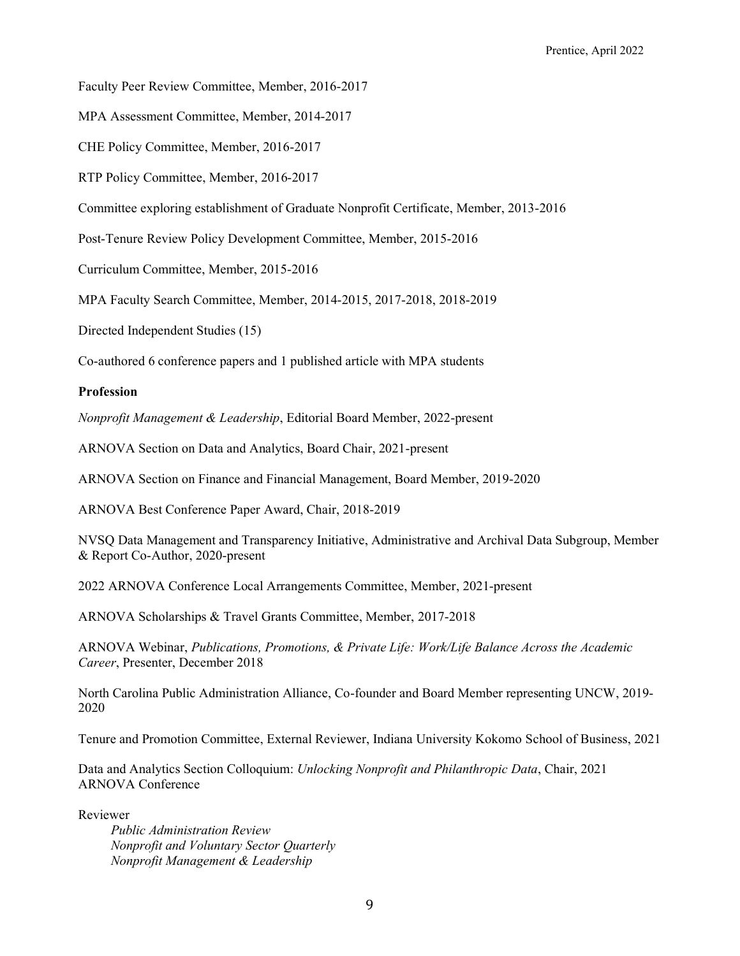Faculty Peer Review Committee, Member, 2016-2017

MPA Assessment Committee, Member, 2014-2017

CHE Policy Committee, Member, 2016-2017

RTP Policy Committee, Member, 2016-2017

Committee exploring establishment of Graduate Nonprofit Certificate, Member, 2013-2016

Post-Tenure Review Policy Development Committee, Member, 2015-2016

Curriculum Committee, Member, 2015-2016

MPA Faculty Search Committee, Member, 2014-2015, 2017-2018, 2018-2019

Directed Independent Studies (15)

Co-authored 6 conference papers and 1 published article with MPA students

## **Profession**

*Nonprofit Management & Leadership*, Editorial Board Member, 2022-present

ARNOVA Section on Data and Analytics, Board Chair, 2021-present

ARNOVA Section on Finance and Financial Management, Board Member, 2019-2020

ARNOVA Best Conference Paper Award, Chair, 2018-2019

NVSQ Data Management and Transparency Initiative, Administrative and Archival Data Subgroup, Member & Report Co-Author, 2020-present

2022 ARNOVA Conference Local Arrangements Committee, Member, 2021-present

ARNOVA Scholarships & Travel Grants Committee, Member, 2017-2018

ARNOVA Webinar, *Publications, Promotions, & Private Life: Work/Life Balance Across the Academic Career*, Presenter, December 2018

North Carolina Public Administration Alliance, Co-founder and Board Member representing UNCW, 2019- 2020

Tenure and Promotion Committee, External Reviewer, Indiana University Kokomo School of Business, 2021

Data and Analytics Section Colloquium: *Unlocking Nonprofit and Philanthropic Data*, Chair, 2021 ARNOVA Conference

Reviewer

*Public Administration Review Nonprofit and Voluntary Sector Quarterly Nonprofit Management & Leadership*